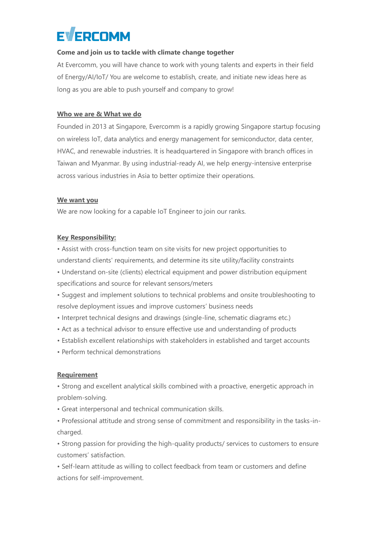## **EVERCOMM**

#### **Come and join us to tackle with climate change together**

At Evercomm, you will have chance to work with young talents and experts in their field of Energy/AI/IoT/ You are welcome to establish, create, and initiate new ideas here as long as you are able to push yourself and company to grow!

#### **Who we are & What we do**

Founded in 2013 at Singapore, Evercomm is a rapidly growing Singapore startup focusing on wireless IoT, data analytics and energy management for semiconductor, data center, HVAC, and renewable industries. It is headquartered in Singapore with branch offices in Taiwan and Myanmar. By using industrial-ready AI, we help energy-intensive enterprise across various industries in Asia to better optimize their operations.

#### **We want you**

We are now looking for a capable IoT Engineer to join our ranks.

#### **Key Responsibility:**

• Assist with cross-function team on site visits for new project opportunities to understand clients' requirements, and determine its site utility/facility constraints

• Understand on-site (clients) electrical equipment and power distribution equipment specifications and source for relevant sensors/meters

• Suggest and implement solutions to technical problems and onsite troubleshooting to resolve deployment issues and improve customers' business needs

- Interpret technical designs and drawings (single-line, schematic diagrams etc.)
- Act as a technical advisor to ensure effective use and understanding of products
- Establish excellent relationships with stakeholders in established and target accounts
- Perform technical demonstrations

#### **Requirement**

• Strong and excellent analytical skills combined with a proactive, energetic approach in problem-solving.

- Great interpersonal and technical communication skills.
- Professional attitude and strong sense of commitment and responsibility in the tasks-incharged.

• Strong passion for providing the high-quality products/ services to customers to ensure customers' satisfaction.

• Self-learn attitude as willing to collect feedback from team or customers and define actions for self-improvement.